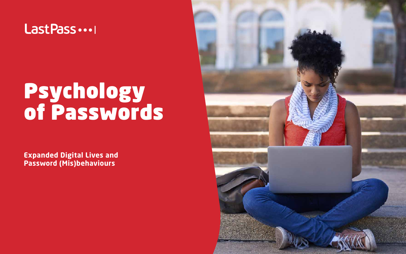

# Psychology of Passwords

**Expanded Digital Lives and Password (Mis)behaviours**

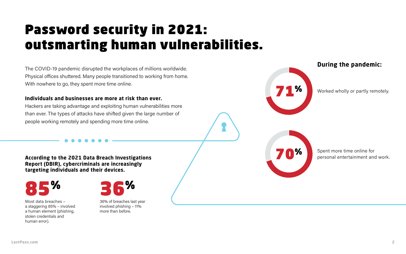# Password security in 2021: outsmarting human vulnerabilities.

The COVID-19 pandemic disrupted the workplaces of millions worldwide. Physical offices shuttered. Many people transitioned to working from home. With nowhere to go, they spent more time online.

#### **Individuals and businesses are more at risk than ever.**

Hackers are taking advantage and exploiting human vulnerabilities more than ever. The types of attacks have shifted given the large number of people working remotely and spending more time online.

**According to the 2021 Data Breach Investigations Report (DBIR), cybercriminals are increasingly targeting individuals and their devices.**



36% of breaches last year involved phishing – 11% more than before.

Most data breaches – a staggering 85% – involved a human element (phishing, stolen credentials and human error).







Worked wholly or partly remotely.

Spent more time online for personal entertainment and work.

#### **During the pandemic:**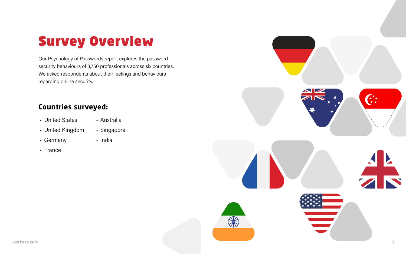

# Survey Overview

Our Psychology of Passwords report explores the password security behaviours of 3,750 professionals across six countries. We asked respondents about their feelings and behaviours regarding online security.

## **Countries surveyed:**

- United States
- United Kingdom
- Germany
- France
- Australia
- Singapore
- India

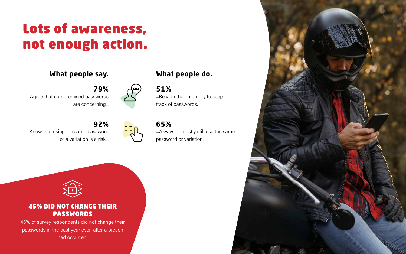



**79%**

Know that using the same password or a variation is a risk...





## **92%**

...Rely on their memory to keep track of passwords.

### **51%**

...Always or mostly still use the same password or variation.

## **65%**

# Lots of awareness, not enough action.

# **What people say. What people do.**

#### 45% DID NOT CHANGE THEIR PASSWORDS

45% of survey respondents did not change their passwords in the past year even after a breach had occurred.

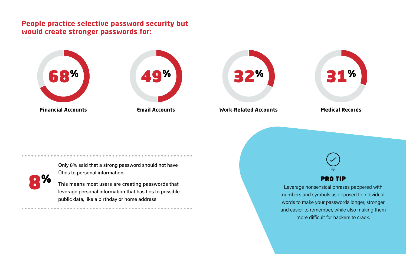## **People practice selective password security but would create stronger passwords for:**

Only 8% said that a strong password should not have Űties to personal information.



This means most users are creating passwords that leverage personal information that has ties to possible public data, like a birthday or home address.





**Work-Related Accounts**



#### **Medical Records**



Leverage nonsensical phrases peppered with numbers and symbols as opposed to individual words to make your passwords longer, stronger and easier to remember, while also making them more difficult for hackers to crack.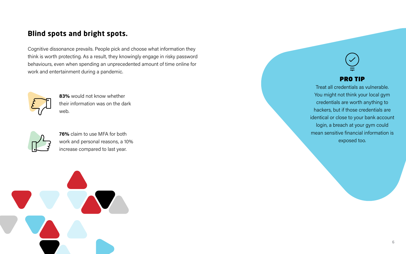



Treat all credentials as vulnerable. You might not think your local gym credentials are worth anything to hackers, but if those credentials are identical or close to your bank account login, a breach at your gym could mean sensitive financial information is exposed too.

## **Blind spots and bright spots.**

Cognitive dissonance prevails. People pick and choose what information they think is worth protecting. As a result, they knowingly engage in risky password behaviours, even when spending an unprecedented amount of time online for work and entertainment during a pandemic.



**76%** claim to use MFA for both work and personal reasons, a 10% increase compared to last year.

**83%** would not know whether their information was on the dark web.

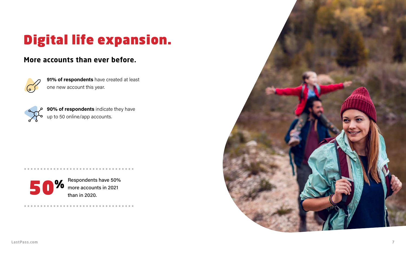# Digital life expansion.

## **More accounts than ever before.**



**91% of respondents** have created at least one new account this year.



**90% of respondents** indicate they have up to 50 online/app accounts.



Respondents have 50%<br>more accounts in 2021 **1990** more accounts in 2021<br>than in 2020.

. . . . . . . . . . . . . . . . . . . .

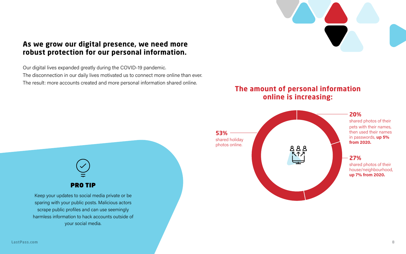

#### **20%**

shared photos of their pets with their names, then used their names in passwords, **up 5% from 2020.**

## **As we grow our digital presence, we need more robust protection for our personal information.**

Our digital lives expanded greatly during the COVID-19 pandemic. The disconnection in our daily lives motivated us to connect more online than ever. The result: more accounts created and more personal information shared online.

## **The amount of personal information online is increasing:**



Keep your updates to social media private or be sparing with your public posts. Malicious actors scrape public profiles and can use seemingly harmless information to hack accounts outside of your social media.

#### **27%**

shared photos of their house/neighbourhood, **up 7% from 2020.**

**[LastPass.com](https://www.lastpass.com/) 8**

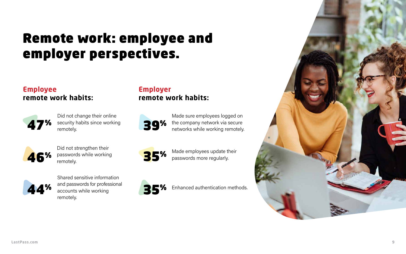# Remote work: employee and employer perspectives.

#### **Employee remote work habits:**

## **Employer remote work habits:**



Did not change their online security habits since working remotely.

Shared sensitive information and passwords for professional accounts while working remotely.



Enhanced authentication methods.







Did not strengthen their passwords while working remotely.



Made employees update their<br>passwords more regularly.



Made sure employees logged on the company network via secure networks while working remotely.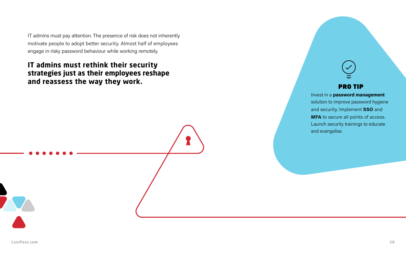IT admins must pay attention. The presence of risk does not inherently motivate people to adopt better security. Almost half of employees engage in risky password behaviour while working remotely.

# **IT admins must rethink their security strategies just as their employees reshape**  and reassess the way they work.



Invest in a **password management** solution to improve password hygiene and security. Implement **SSO** and **MFA** to secure all points of access. Launch security trainings to educate and evangelise.

**[LastPass.com](https://www.lastpass.com/) 10**

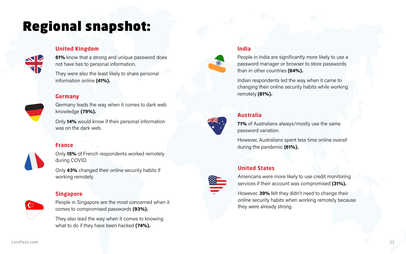# Regional snapshot:

#### **United Kingdom**

**61%** know that a strong and unique password does not have ties to personal information.

They were also the least likely to share personal information online **(41%).**

#### **Singapore**

People in Singapore are the most concerned when it comes to compromised passwords **(93%).**

They also lead the way when it comes to knowing what to do if they have been hacked **(74%).**

#### **United States**



Americans were more likely to use credit monitoring services if their account was compromised **(31%).**

However, **39%** felt they didn't need to change their online security habits when working remotely because they were already strong.

#### **Australia**

**71%** of Australians always/mostly use the same password variation.

However, Australians spent less time online overall during the pandemic **(61%).**

#### **India**

People in India are significantly more likely to use a password manager or browser to store passwords than in other countries **(64%).**

Indian respondents led the way when it came to changing their online security habits while working remotely **(81%). Germany**



Germany leads the way when it comes to dark web knowledge **(79%).**

Only **14%** would know if their personal information was on the dark web.

#### **France**

Only **15%** of French respondents worked remotely during COVID.

Only **43%** changed their online security habits if working remotely.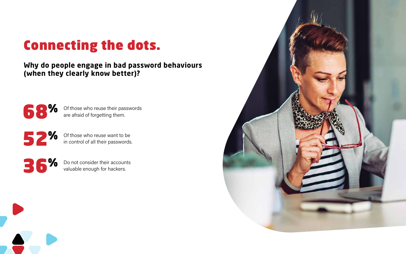# Connecting the dots.

## **Why do people engage in bad password behaviours (when they clearly know better)?**



**68%** Of those who reuse their passwords<br>are afraid of forgetting them. are afraid of forgetting them.

**32 %** Of those who reuse want to be in control of all their passwords in control of all their passwords.

**36%** Do not consider their accounts<br>valuable enough for hackers. valuable enough for hackers.

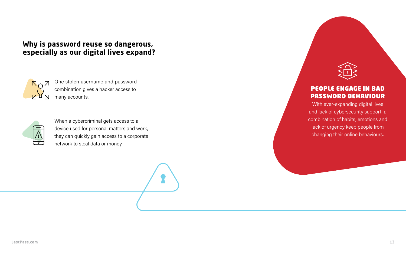## **Why is password reuse so dangerous, especially as our digital lives expand?**



#### PEOPLE ENGAGE IN BAD PASSWORD BEHAVIOUR

With ever-expanding digital lives and lack of cybersecurity support, a combination of habits, emotions and lack of urgency keep people from changing their online behaviours.

**[LastPass.com](https://www.lastpass.com/) 13**



One stolen username and password combination gives a hacker access to many accounts.



When a cybercriminal gets access to a device used for personal matters and work, they can quickly gain access to a corporate network to steal data or money.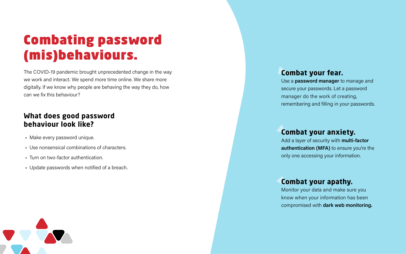# Combating password (mis)behaviours.

The COVID-19 pandemic brought unprecedented change in the way we work and interact. We spend more time online. We share more digitally. If we know why people are behaving the way they do, how can we fix this behaviour?

## **What does good password behaviour look like?**

- Make every password unique.
- Use nonsensical combinations of characters.
- Turn on two-factor authentication.
- Update passwords when notified of a breach.



#### **Combat your fear.**

Use a **password manager** to manage and secure your passwords. Let a password manager do the work of creating, remembering and filling in your passwords.

#### **Combat your anxiety.**

Add a layer of security with **multi-factor**  authentication (MFA) to ensure you're the only one accessing your information.

#### **Combat your apathy.**

Monitor your data and make sure you know when your information has been compromised with **dark web monitoring.**